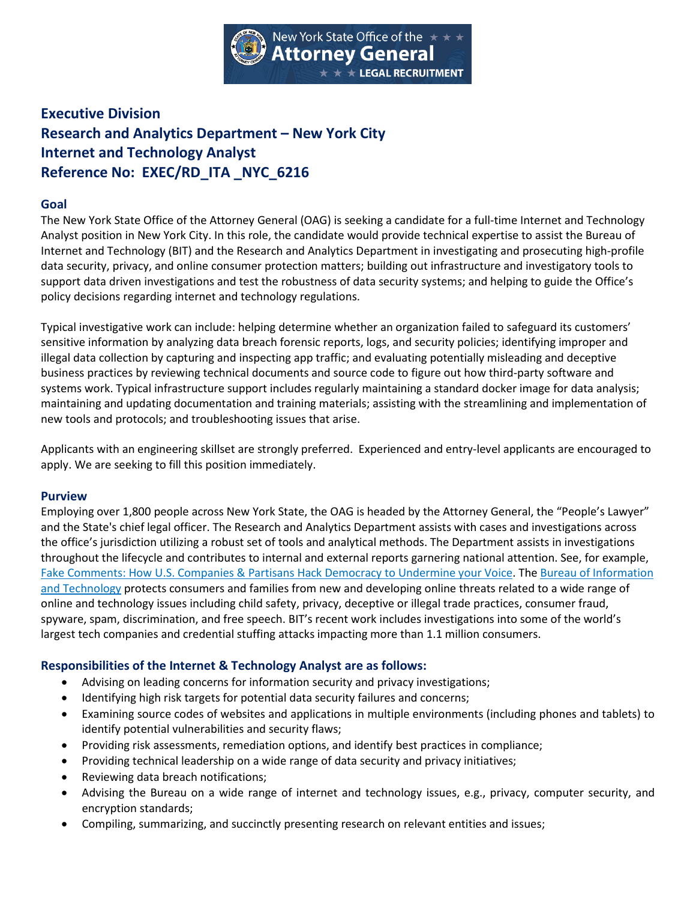

# **Executive Division Research and Analytics Department – New York City Internet and Technology Analyst Reference No: EXEC/RD\_ITA \_NYC\_6216**

### **Goal**

The New York State Office of the Attorney General (OAG) is seeking a candidate for a full-time Internet and Technology Analyst position in New York City. In this role, the candidate would provide technical expertise to assist the Bureau of Internet and Technology (BIT) and the Research and Analytics Department in investigating and prosecuting high-profile data security, privacy, and online consumer protection matters; building out infrastructure and investigatory tools to support data driven investigations and test the robustness of data security systems; and helping to guide the Office's policy decisions regarding internet and technology regulations.

Typical investigative work can include: helping determine whether an organization failed to safeguard its customers' sensitive information by analyzing data breach forensic reports, logs, and security policies; identifying improper and illegal data collection by capturing and inspecting app traffic; and evaluating potentially misleading and deceptive business practices by reviewing technical documents and source code to figure out how third-party software and systems work. Typical infrastructure support includes regularly maintaining a standard docker image for data analysis; maintaining and updating documentation and training materials; assisting with the streamlining and implementation of new tools and protocols; and troubleshooting issues that arise.

Applicants with an engineering skillset are strongly preferred. Experienced and entry-level applicants are encouraged to apply. We are seeking to fill this position immediately.

#### **Purview**

Employing over 1,800 people across New York State, the OAG is headed by the Attorney General, the "People's Lawyer" and the State's chief legal officer. The Research and Analytics Department assists with cases and investigations across the office's jurisdiction utilizing a robust set of tools and analytical methods. The Department assists in investigations throughout the lifecycle and contributes to internal and external reports garnering national attention. See, for example, [Fake Comments: How U.S. Companies & Partisans Hack Democracy to Undermine your Voice.](https://ag.ny.gov/press-release/2021/attorney-general-james-issues-report-detailing-millions-fake-comments-revealing) Th[e Bureau of Information](https://ag.ny.gov/bureau/internet-bureau)  [and Technology](https://ag.ny.gov/bureau/internet-bureau) protects consumers and families from new and developing online threats related to a wide range of online and technology issues including child safety, privacy, deceptive or illegal trade practices, consumer fraud, spyware, spam, discrimination, and free speech. BIT's recent work includes investigations into some of the world's largest tech companies and credential stuffing attacks impacting more than 1.1 million consumers.

#### **Responsibilities of the Internet & Technology Analyst are as follows:**

- Advising on leading concerns for information security and privacy investigations;
- Identifying high risk targets for potential data security failures and concerns;
- Examining source codes of websites and applications in multiple environments (including phones and tablets) to identify potential vulnerabilities and security flaws;
- Providing risk assessments, remediation options, and identify best practices in compliance;
- Providing technical leadership on a wide range of data security and privacy initiatives;
- Reviewing data breach notifications;
- Advising the Bureau on a wide range of internet and technology issues, e.g., privacy, computer security, and encryption standards;
- Compiling, summarizing, and succinctly presenting research on relevant entities and issues;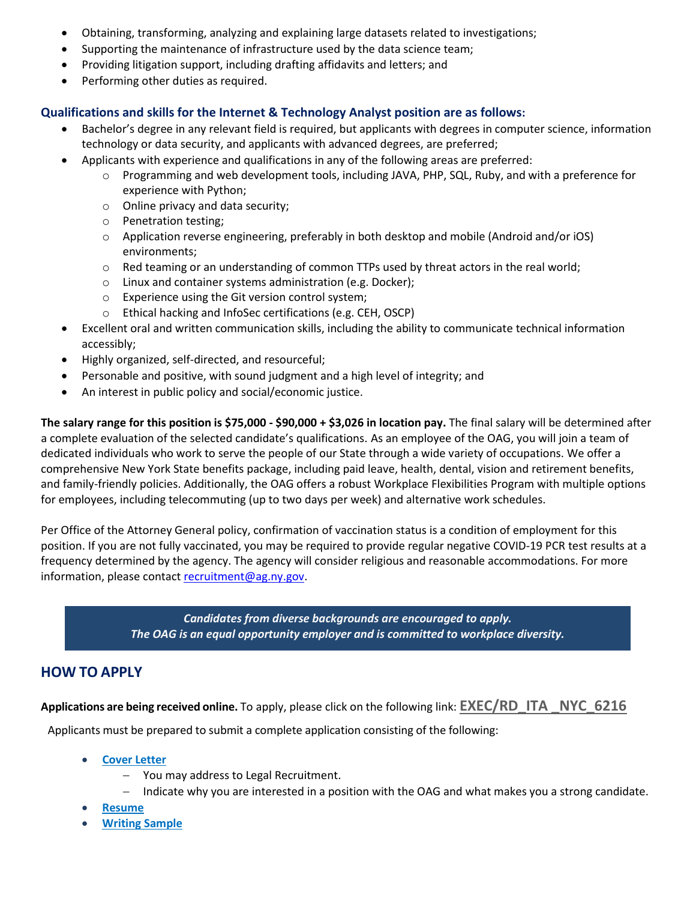- Obtaining, transforming, analyzing and explaining large datasets related to investigations;
- Supporting the maintenance of infrastructure used by the data science team;
- Providing litigation support, including drafting affidavits and letters; and
- Performing other duties as required.

# **Qualifications and skills for the Internet & Technology Analyst position are as follows:**

- Bachelor's degree in any relevant field is required, but applicants with degrees in computer science, information technology or data security, and applicants with advanced degrees, are preferred;
- Applicants with experience and qualifications in any of the following areas are preferred:
	- o Programming and web development tools, including JAVA, PHP, SQL, Ruby, and with a preference for experience with Python;
	- o Online privacy and data security;
	- o Penetration testing;
	- o Application reverse engineering, preferably in both desktop and mobile (Android and/or iOS) environments;
	- $\circ$  Red teaming or an understanding of common TTPs used by threat actors in the real world;
	- o Linux and container systems administration (e.g. Docker);
	- o Experience using the Git version control system;
	- o Ethical hacking and InfoSec certifications (e.g. CEH, OSCP)
- Excellent oral and written communication skills, including the ability to communicate technical information accessibly;
- Highly organized, self-directed, and resourceful;
- Personable and positive, with sound judgment and a high level of integrity; and
- An interest in public policy and social/economic justice.

**The salary range for this position is \$75,000 - \$90,000 + \$3,026 in location pay.** The final salary will be determined after a complete evaluation of the selected candidate's qualifications. As an employee of the OAG, you will join a team of dedicated individuals who work to serve the people of our State through a wide variety of occupations. We offer a comprehensive New York State benefits package, including paid leave, health, dental, vision and retirement benefits, and family-friendly policies. Additionally, the OAG offers a robust Workplace Flexibilities Program with multiple options for employees, including telecommuting (up to two days per week) and alternative work schedules.

Per Office of the Attorney General policy, confirmation of vaccination status is a condition of employment for this position. If you are not fully vaccinated, you may be required to provide regular negative COVID-19 PCR test results at a frequency determined by the agency. The agency will consider religious and reasonable accommodations. For more information, please contac[t recruitment@ag.ny.gov.](mailto:Recruitment@ag.ny.gov)

> *Candidates from diverse backgrounds are encouraged to apply. The OAG is an equal opportunity employer and is committed to workplace diversity.*

# **HOW TO APPLY**

**Applications are being received online.** To apply, please click on the following link: **[EXEC/RD\\_ITA \\_NYC\\_6216](https://lgr.ag.ny.gov/ords/f?p=136:10:::::P10_LGR_JOB_ID,P10_POSITIONTYPE,P10_LGR_WRITING_SAMPLE_IND:4190,18,Y)**

Applicants must be prepared to submit a complete application consisting of the following:

- **[Cover Letter](http://ag.ny.gov/legal-recruitment/document-requirement-exempt-applications)**
	- − You may address to Legal Recruitment.
	- − Indicate why you are interested in a position with the OAG and what makes you a strong candidate.
- **[Resume](http://ag.ny.gov/legal-recruitment/document-requirement-exempt-applications)**
- **[Writing Sample](http://ag.ny.gov/legal-recruitment/document-requirement-exempt-applications)**